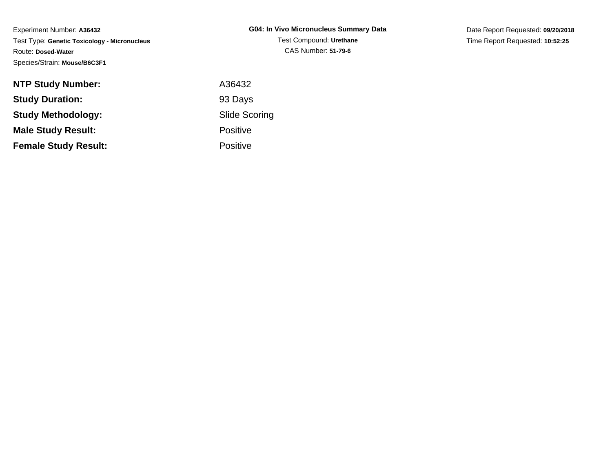| <b>NTP Study Number:</b>    | A36432               |
|-----------------------------|----------------------|
| <b>Study Duration:</b>      | 93 Days              |
| <b>Study Methodology:</b>   | <b>Slide Scoring</b> |
| <b>Male Study Result:</b>   | <b>Positive</b>      |
| <b>Female Study Result:</b> | <b>Positive</b>      |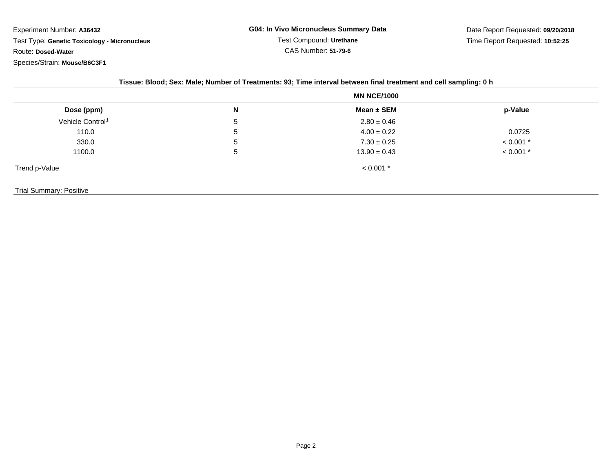| Tissue: Blood; Sex: Male; Number of Treatments: 93; Time interval between final treatment and cell sampling: 0 h |                    |                  |             |  |
|------------------------------------------------------------------------------------------------------------------|--------------------|------------------|-------------|--|
|                                                                                                                  | <b>MN NCE/1000</b> |                  |             |  |
| Dose (ppm)                                                                                                       | N                  | Mean $\pm$ SEM   | p-Value     |  |
| Vehicle Control <sup>1</sup>                                                                                     | 5                  | $2.80 \pm 0.46$  |             |  |
| 110.0                                                                                                            | 5                  | $4.00 \pm 0.22$  | 0.0725      |  |
| 330.0                                                                                                            | 5                  | $7.30 \pm 0.25$  | $< 0.001$ * |  |
| 1100.0                                                                                                           | 5                  | $13.90 \pm 0.43$ | $< 0.001$ * |  |
| Trend p-Value                                                                                                    |                    | $< 0.001$ *      |             |  |
| Trial Summary: Positive                                                                                          |                    |                  |             |  |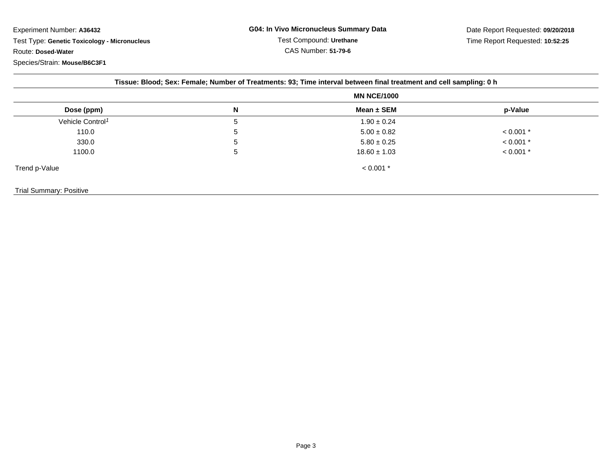| Tissue: Blood; Sex: Female; Number of Treatments: 93; Time interval between final treatment and cell sampling: 0 h |                    |                  |             |  |
|--------------------------------------------------------------------------------------------------------------------|--------------------|------------------|-------------|--|
|                                                                                                                    | <b>MN NCE/1000</b> |                  |             |  |
| Dose (ppm)                                                                                                         | N                  | Mean $\pm$ SEM   | p-Value     |  |
| Vehicle Control <sup>1</sup>                                                                                       | 5                  | $1.90 \pm 0.24$  |             |  |
| 110.0                                                                                                              | 5                  | $5.00 \pm 0.82$  | $< 0.001$ * |  |
| 330.0                                                                                                              | 5                  | $5.80 \pm 0.25$  | $< 0.001$ * |  |
| 1100.0                                                                                                             | 5                  | $18.60 \pm 1.03$ | $< 0.001$ * |  |
| Trend p-Value                                                                                                      |                    | $< 0.001$ *      |             |  |
| <b>Trial Summary: Positive</b>                                                                                     |                    |                  |             |  |